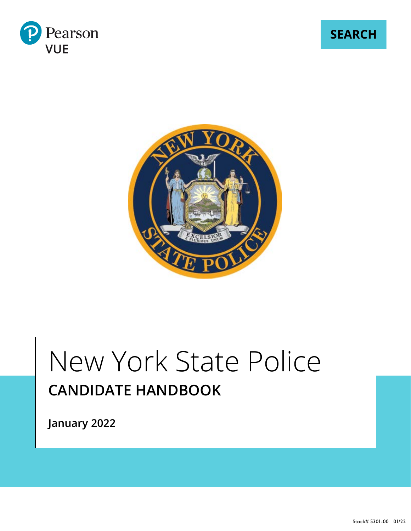

**SEARCH**



# New York State Police **CANDIDATE HANDBOOK**

**January 2022**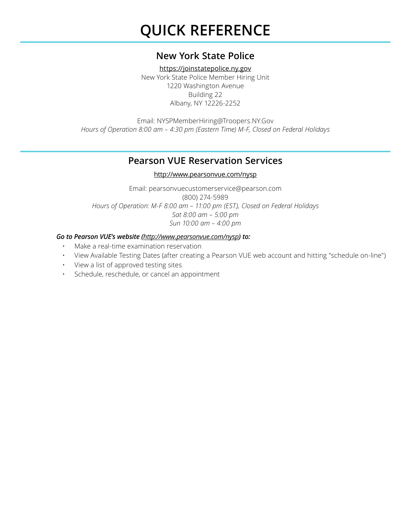# **QUICK REFERENCE**

## **New York State Police**

<https://joinstatepolice.ny.gov> New York State Police Member Hiring Unit 1220 Washington Avenue Building 22 Albany, NY 12226-2252

Email: [NYSPMemberHiring@Troopers.NY.Gov](mailto:NYSPMemberHiring%40Troopers.NY.Gov?subject=) *Hours of Operation 8:00 am – 4:30 pm (Eastern Time) M-F, Closed on Federal Holidays*

### **Pearson VUE Reservation Services**

#### [http://www.pearsonvue.com/](http://www.pearsonvue.com/nysp)nysp

Email: [pearsonvuecustomerservice@pearson.com](mailto:pearsonvuecustomerservice%40pearson.com?subject=) (800) 274-5989 *Hours of Operation: M-F 8:00 am – 11:00 pm (EST), Closed on Federal Holidays Sat 8:00 am – 5:00 pm Sun 10:00 am – 4:00 pm*

#### *Go to Pearson VUE's website ([http://www.pearsonvue.com/](http://www.pearsonvue.com/nysp)nysp) to:*

- Make a real-time examination reservation
- View Available Testing Dates (after creating a Pearson VUE web account and hitting "schedule on-line")
- View a list of approved testing sites
- Schedule, reschedule, or cancel an appointment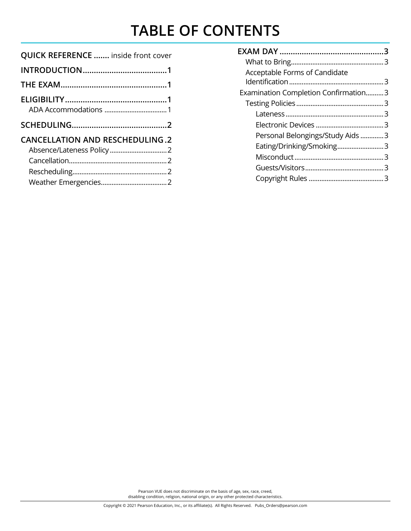# **TABLE OF CONTENTS**

| <b>QUICK REFERENCE  inside front cover</b> |
|--------------------------------------------|
|                                            |
|                                            |
|                                            |
|                                            |
|                                            |
| <b>CANCELLATION AND RESCHEDULING.2</b>     |
|                                            |
|                                            |
|                                            |

| Acceptable Forms of Candidate        |  |
|--------------------------------------|--|
|                                      |  |
| Examination Completion Confirmation3 |  |
|                                      |  |
|                                      |  |
|                                      |  |
| Personal Belongings/Study Aids 3     |  |
| Eating/Drinking/Smoking3             |  |
|                                      |  |
|                                      |  |
|                                      |  |

Pearson VUE does not discriminate on the basis of age, sex, race, creed, disabling condition, religion, national origin, or any other protected characteristics.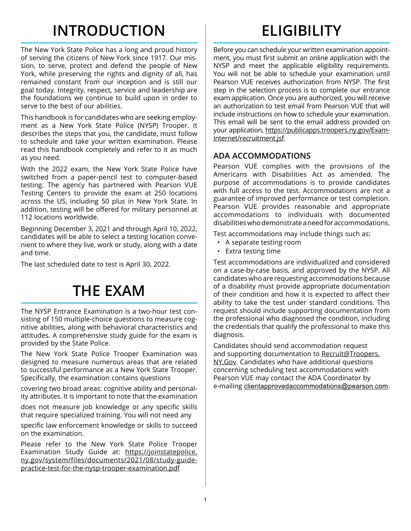# **INTRODUCTION**

The New York State Police has a long and proud history of serving the citizens of New York since 1917. Our mission, to serve, protect and defend the people of New York, while preserving the rights and dignity of all, has remained constant from our inception and is still our goal today. Integrity, respect, service and leadership are the foundations we continue to build upon in order to serve to the best of our abilities.

This handbook is for candidates who are seeking employment as a New York State Police (NYSP) Trooper. It describes the steps that you, the candidate, must follow to schedule and take your written examination. Please read this handbook completely and refer to it as much as you need.

With the 2022 exam, the New York State Police have switched from a paper-pencil test to computer-based testing. The agency has partnered with Pearson VUE Testing Centers to provide the exam at 250 locations across the US, including 50 plus in New York State. In addition, testing will be offered for military personnel at 112 locations worldwide.

Beginning December 3, 2021 and through April 10, 2022, candidates will be able to select a testing location convenient to where they live, work or study, along with a date and time.

The last scheduled date to test is April 30, 2022.

# **THE EXAM**

The NYSP Entrance Examination is a two-hour test consisting of 150 multiple-choice questions to measure cognitive abilities, along with behavioral characteristics and attitudes. A comprehensive study guide for the exam is provided by the State Police.

The New York State Police Trooper Examination was designed to measure numerous areas that are related to successful performance as a New York State Trooper. Specifically, the examination contains questions

covering two broad areas: cognitive ability and personality attributes. It is important to note that the examination

does not measure job knowledge or any specific skills that require specialized training. You will not need any

specific law enforcement knowledge or skills to succeed on the examination.

Please refer to the New York State Police Trooper Examination Study Guide at: [https://joinstatepolice.](https://joinstatepolice.ny.gov/system/files/documents/2021/08/study-guide-practice-test-for-the-nysp) [ny.gov/system/files/documents/2021/08/study-guide](https://joinstatepolice.ny.gov/system/files/documents/2021/08/study-guide-practice-test-for-the-nysp)[practice-test-for-the-nysp-trooper-examination.pdf](https://joinstatepolice.ny.gov/system/files/documents/2021/08/study-guide-practice-test-for-the-nysp)

# **ELIGIBILITY**

Before you can schedule your written examination appointment, you must first submit an online application with the NYSP and meet the applicable eligibility requirements. You will not be able to schedule your examination until Pearson VUE receives authorization from NYSP. The first step in the selection process is to complete our entrance exam application. Once you are authorized, you will receive an authorization to test email from Pearson VUE that will include instructions on how to schedule your examination. This email will be sent to the email address provided on your application, [https://publicapps.troopers.ny.gov/Exam-](https://publicapps.troopers.ny.gov/Exam-Internet/recruitment.jsf)[Internet/recruitment.jsf.](https://publicapps.troopers.ny.gov/Exam-Internet/recruitment.jsf)

### **ADA ACCOMMODATIONS**

Pearson VUE complies with the provisions of the Americans with Disabilities Act as amended. The purpose of accommodations is to provide candidates with full access to the test. Accommodations are not a guarantee of improved performance or test completion. Pearson VUE provides reasonable and appropriate accommodations to individuals with documented disabilities who demonstrate a need for accommodations.

Test accommodations may include things such as:

- A separate testing room
- Extra testing time

Test accommodations are individualized and considered on a case-by-case basis, and approved by the NYSP. All candidates who are requesting accommodations because of a disability must provide appropriate documentation of their condition and how it is expected to affect their ability to take the test under standard conditions. This request should include supporting documentation from the professional who diagnosed the condition, including the credentials that qualify the professional to make this diagnosis.

Candidates should send accommodation request and supporting documentation to [Recruit@Troopers.](mailto:Recruit%40Troopers.NY.Gov?subject=) [NY.Gov](mailto:Recruit%40Troopers.NY.Gov?subject=). Candidates who have additional questions concerning scheduling test accommodations with Pearson VUE may contact the ADA Coordinator by e-mailing clientapprovedaccommodations@pearson.com.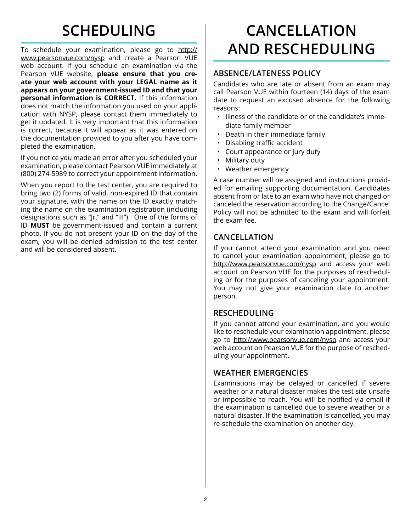# **SCHEDULING**

To schedule your examination, please go to [http://](http://www.pearsonvue.com/nysp) [www.pearsonvue.com/n](http://www.pearsonvue.com/nysp)ysp and create a Pearson VUE web account. If you schedule an examination via the Pearson VUE website, **please ensure that you create your web account with your LEGAL name as it appears on your government-issued ID and that your personal information is CORRECT.** If this information does not match the information you used on your application with NYSP, please contact them immediately to get it updated. It is very important that this information is correct, because it will appear as it was entered on the documentation provided to you after you have completed the examination.

If you notice you made an error after you scheduled your examination, please contact Pearson VUE immediately at (800) 274-5989 to correct your appointment information.

When you report to the test center, you are required to bring two (2) forms of valid, non-expired ID that contain your signature, with the name on the ID exactly matching the name on the examination registration (including designations such as "Jr." and "III"). One of the forms of ID **MUST** be government-issued and contain a current photo. If you do not present your ID on the day of the exam, you will be denied admission to the test center and will be considered absent.

# **CANCELLATION AND RESCHEDULING**

#### **ABSENCE/LATENESS POLICY**

Candidates who are late or absent from an exam may call Pearson VUE within fourteen (14) days of the exam date to request an excused absence for the following reasons:

- Illness of the candidate or of the candidate's immediate family member
- Death in their immediate family
- Disabling traffic accident
- Court appearance or jury duty
- Military duty
- Weather emergency

A case number will be assigned and instructions provided for emailing supporting documentation. Candidates absent from or late to an exam who have not changed or canceled the reservation according to the Change/Cancel Policy will not be admitted to the exam and will forfeit the exam fee.

### **CANCELLATION**

If you cannot attend your examination and you need to cancel your examination appointment, please go to [http://www.pearsonvue.com/n](http://www.pearsonvue.com/nysp)ysp and access your web account on Pearson VUE for the purposes of rescheduling or for the purposes of canceling your appointment. You may not give your examination date to another person.

### **RESCHEDULING**

If you cannot attend your examination, and you would like to reschedule your examination appointment, please go to [http://www.pearsonvue.com/n](http://www.pearsonvue.com/nysp)ysp and access your web account on Pearson VUE for the purpose of rescheduling your appointment.

### **WEATHER EMERGENCIES**

Examinations may be delayed or cancelled if severe weather or a natural disaster makes the test site unsafe or impossible to reach. You will be notified via email if the examination is cancelled due to severe weather or a natural disaster. If the examination is cancelled, you may re-schedule the examination on another day.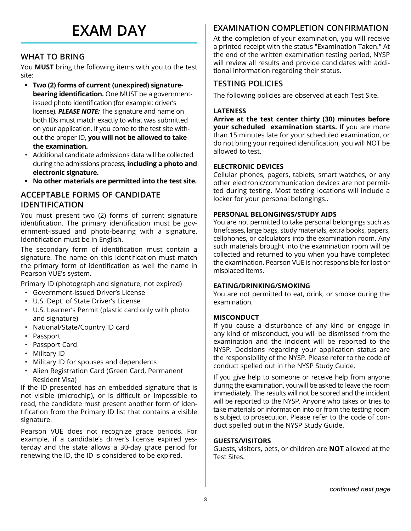# **EXAM DAY**

### **WHAT TO BRING**

You **MUST** bring the following items with you to the test site:

- **• Two (2) forms of current (unexpired) signaturebearing identification.** One MUST be a governmentissued photo identification (for example: driver's license). *PLEASE NOTE:* The signature and name on both IDs must match exactly to what was submitted on your application. If you come to the test site without the proper ID, **you will not be allowed to take the examination.**
- Additional candidate admissions data will be collected during the admissions process, **including a photo and electronic signature.**
- **• No other materials are permitted into the test site.**

### **ACCEPTABLE FORMS OF CANDIDATE IDENTIFICATION**

You must present two (2) forms of current signature identification. The primary identification must be government-issued and photo-bearing with a signature. Identification must be in English.

The secondary form of identification must contain a signature. The name on this identification must match the primary form of identification as well the name in Pearson VUE's system.

Primary ID (photograph and signature, not expired)

- Government-issued Driver's License
- U.S. Dept. of State Driver's License
- U.S. Learner's Permit (plastic card only with photo and signature)
- National/State/Country ID card
- Passport
- Passport Card
- Military ID
- Military ID for spouses and dependents
- Alien Registration Card (Green Card, Permanent Resident Visa)

If the ID presented has an embedded signature that is not visible (microchip), or is difficult or impossible to read, the candidate must present another form of identification from the Primary ID list that contains a visible signature.

Pearson VUE does not recognize grace periods. For example, if a candidate's driver's license expired yesterday and the state allows a 30-day grace period for renewing the ID, the ID is considered to be expired.

### **EXAMINATION COMPLETION CONFIRMATION**

At the completion of your examination, you will receive a printed receipt with the status "Examination Taken." At the end of the written examination testing period, NYSP will review all results and provide candidates with additional information regarding their status.

#### **TESTING POLICIES**

The following policies are observed at each Test Site.

#### **LATENESS**

**Arrive at the test center thirty (30) minutes before your scheduled examination starts.** If you are more than 15 minutes late for your scheduled examination, or do not bring your required identification, you will NOT be allowed to test.

#### **ELECTRONIC DEVICES**

Cellular phones, pagers, tablets, smart watches, or any other electronic/communication devices are not permitted during testing. Most testing locations will include a locker for your personal belongings..

#### **PERSONAL BELONGINGS/STUDY AIDS**

You are not permitted to take personal belongings such as briefcases, large bags, study materials, extra books, papers, cellphones, or calculators into the examination room. Any such materials brought into the examination room will be collected and returned to you when you have completed the examination. Pearson VUE is not responsible for lost or misplaced items.

#### **EATING/DRINKING/SMOKING**

You are not permitted to eat, drink, or smoke during the examination.

#### **MISCONDUCT**

If you cause a disturbance of any kind or engage in any kind of misconduct, you will be dismissed from the examination and the incident will be reported to the NYSP. Decisions regarding your application status are the responsibility of the NYSP. Please refer to the code of conduct spelled out in the NYSP Study Guide.

If you give help to someone or receive help from anyone during the examination, you will be asked to leave the room immediately. The results will not be scored and the incident will be reported to the NYSP. Anyone who takes or tries to take materials or information into or from the testing room is subject to prosecution. Please refer to the code of conduct spelled out in the NYSP Study Guide.

#### **GUESTS/VISITORS**

Guests, visitors, pets, or children are **NOT** allowed at the Test Sites.